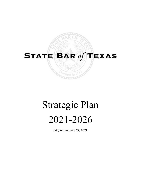# STATE BAR  $of$  TEXAS

# Strategic Plan 2021-2026

*adopted January 22, 2021*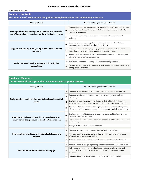### **Service to the Public**

#### **The State Bar of Texas serves the public through education and community outreach.**

| <b>Strategic Goals</b>                                                                                                      |    | To address this goal the State Bar will                                                                                                                                             |
|-----------------------------------------------------------------------------------------------------------------------------|----|-------------------------------------------------------------------------------------------------------------------------------------------------------------------------------------|
| Foster public understanding about the Rule of Law and the<br>role of judges, lawyers, and the public in the justice system. | А. | Use multiple platforms and channels to educate the public about the law and<br>legal system and lawyers' role, particularly among diverse and non-English-<br>speaking communities. |
|                                                                                                                             | в. | Educate the public about the role and importance of an independent<br>judiciary.                                                                                                    |
| Support community, public, and pro bono service among<br>members.                                                           | А. | Continue to facilitate participation by lawyers, judges, and law students in<br>community service and public education activities.                                                  |
|                                                                                                                             | В. | Increase awareness of lawyers, judges, and law students' contributions to<br>improving access to justice and rendering pro bono service.                                            |
|                                                                                                                             |    | Promote public awareness of SBOT public service, consumer education, and<br>crisis and disaster assistance resources.                                                               |
|                                                                                                                             |    |                                                                                                                                                                                     |
| Collaborate with local, specialty, and diversity bar<br>associations.                                                       |    | A. Provide resources that support public and community outreach.                                                                                                                    |
|                                                                                                                             | B. | Develop and promote legal careers across all levels of education, particularly<br>among diverse students.                                                                           |

#### **Service to Members**

**The State Bar of Texas provides its members with superior services.**

| <b>Strategic Goals</b>                                                                                          |    | To address this goal the State Bar will                                                                                                                          |
|-----------------------------------------------------------------------------------------------------------------|----|------------------------------------------------------------------------------------------------------------------------------------------------------------------|
| Equip member to deliver high-quality legal services to their<br>clients.                                        | А. | Continue to provide first-rate, innovative, accessible, and affordable CLE.                                                                                      |
|                                                                                                                 | В. | Continue to educate members on law practice management tools and<br>technology.                                                                                  |
|                                                                                                                 | C. | Continue to guide members in fulfillment of their ethical obligations and<br>adherence to the Texas Lawyers Creed and Rules of Professional Conduct.             |
|                                                                                                                 | D. | Monitor and assist members with adapting to evolving trends in the practice<br>of law and the implications of post-pandemic practice, including technology.      |
| Cultivate an inclusive culture that honors diversity and<br>equity across the spectrum of members' experiences. | А. | Continue to support initiatives and recommendations of the Task Force on<br>Diversity, Equity and Inclusion.                                                     |
|                                                                                                                 | В. | Ensure diversity and inclusion among the leadership of State Bar Sections and<br>committees.                                                                     |
|                                                                                                                 | C. | Recognize the needs of rural practitioners.                                                                                                                      |
| Help members to achieve professional satisfaction and<br><b>SUCCESS</b>                                         | А. | Continue to support and promote TLAP and wellness initiatives.                                                                                                   |
|                                                                                                                 | В. | Provide a range of member benefits that help members to practice more<br>efficiently, economically, and ethically                                                |
|                                                                                                                 | C. | Assist members with career planning from law school through retirement.                                                                                          |
| Meet members where they are, to engage.                                                                         | А. | Assist members in navigating the impact of the pandemic on their practices.                                                                                      |
|                                                                                                                 | в. | Collaborate with sections, law schools, and national, local, diversity, and<br>specialty bar associations to build awareness and participation among<br>members. |
|                                                                                                                 | C. | Connect through personal outreach and targeted communications.                                                                                                   |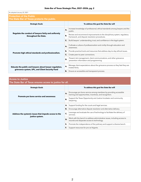| As adopted January 22, 2021                                                                                |    |                                                                                                                           |
|------------------------------------------------------------------------------------------------------------|----|---------------------------------------------------------------------------------------------------------------------------|
| <b>Protection of the Public</b><br>The State Bar of Texas protects the public.                             |    |                                                                                                                           |
| <b>Strategic Goals</b>                                                                                     |    | To address this goal the State Bar will                                                                                   |
| Regulate the conduct of lawyers fairly and uniformly<br>throughout the State.                              | А. | Increase knowledge of professional, ethical standards among lawyers and the<br>public.                                    |
|                                                                                                            | В. | Review and recommend improvements to the disciplinary system, regulatory<br>framework, and dispute resolution procedures. |
|                                                                                                            | C. | Build lawyers' understanding, trust, and confidence in the legal system.                                                  |
| Promote high ethical standards and professionalism.                                                        | А. | Cultivate a culture of professionalism and civility through education and<br>awareness.                                   |
|                                                                                                            | В. | Provide practical tools and resources that address day-to-day ethical issues.                                             |
|                                                                                                            | C. | Create peer-to-peer connections.                                                                                          |
|                                                                                                            | D. | Present risk management, client communications, and other grievance<br>prevention information and programming.            |
| Educate the public and lawyers about lawyer regulation,<br>grievance system, UPL, and Client Security Fund | А. | Manage client expectations about the grievance process so they feel they are<br>treated fairly.                           |
|                                                                                                            | В. | Ensure an accessible and transparent process.                                                                             |

## Access to Justice

The State Bar of Texas ensures access to justice for all.

| <b>Strategic Goals</b>                                                   |    | To address this goal the State Bar will                                                                                      |
|--------------------------------------------------------------------------|----|------------------------------------------------------------------------------------------------------------------------------|
| Promote pro bono service and awareness                                   | А. | Encourage pro bono service among members by providing accessible<br>training and opportunities, incentives, and recognition. |
|                                                                          | В. | Support the Texas Opportunity and Justice Incubator and community<br>lawyering.                                              |
| Address the systemic issues that impede access to the<br>justice system. | А. | Support funding for the courts and legal services.                                                                           |
|                                                                          | В. | Encourage alternative dispute resolution and alternative delivery.                                                           |
|                                                                          | C. | Leverage and evaluate the use of technology to facilitate the delivery of<br>services.                                       |
|                                                                          | D. | Work with the bench to address administrative issues, including access to<br>records and disparate access to technology.     |
|                                                                          | Е. | Promote the independence of the judiciary and support a diverse bench.                                                       |
|                                                                          |    | Support resources for pro se litigants.                                                                                      |